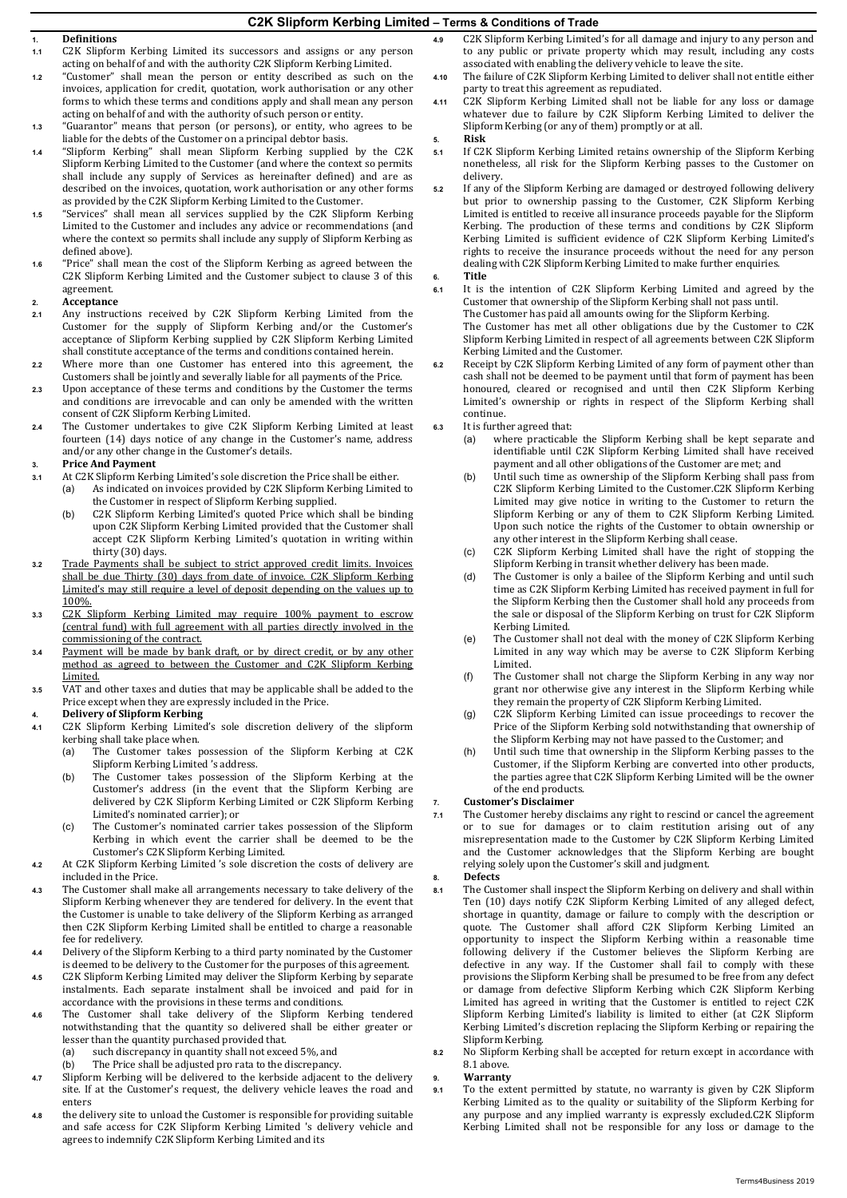## **C2K Slipform Kerbing Limited – Terms & Conditions of Trade**

# **1. Definitions**

- **1.1** C2K Slipform Kerbing Limited its successors and assigns or any person acting on behalf of and with the authority C2K Slipform Kerbing Limited.
- **1.2** "Customer" shall mean the person or entity described as such on the invoices, application for credit, quotation, work authorisation or any other forms to which these terms and conditions apply and shall mean any person acting on behalf of and with the authority of such person or entity.
- **1.3** "Guarantor" means that person (or persons), or entity, who agrees to be liable for the debts of the Customer on a principal debtor basis.
- **1.4** "Slipform Kerbing" shall mean Slipform Kerbing supplied by the C2K Slipform Kerbing Limited to the Customer (and where the context so permits shall include any supply of Services as hereinafter defined) and are as described on the invoices, quotation, work authorisation or any other forms as provided by the C2K Slipform Kerbing Limited to the Customer.
- **1.5** "Services" shall mean all services supplied by the C2K Slipform Kerbing Limited to the Customer and includes any advice or recommendations (and where the context so permits shall include any supply of Slipform Kerbing as defined above).
- **1.6** "Price" shall mean the cost of the Slipform Kerbing as agreed between the C2K Slipform Kerbing Limited and the Customer subject to clause 3 of this agreement.

#### **2. Acceptance**

- **2.1** Any instructions received by C2K Slipform Kerbing Limited from the Customer for the supply of Slipform Kerbing and/or the Customer's acceptance of Slipform Kerbing supplied by C2K Slipform Kerbing Limited shall constitute acceptance of the terms and conditions contained herein.
- **2.2** Where more than one Customer has entered into this agreement, the Customers shall be jointly and severally liable for all payments of the Price.
- **2.3** Upon acceptance of these terms and conditions by the Customer the terms and conditions are irrevocable and can only be amended with the written consent of C2K Slipform Kerbing Limited.
- **2.4** The Customer undertakes to give C2K Slipform Kerbing Limited at least fourteen (14) days notice of any change in the Customer's name, address and/or any other change in the Customer's details.

#### **3. Price And Payment**

- **3.1** At C2K Slipform Kerbing Limited's sole discretion the Price shall be either. As indicated on invoices provided by C2K Slipform Kerbing Limited to
	- the Customer in respect of Slipform Kerbing supplied.
		- (b) C2K Slipform Kerbing Limited's quoted Price which shall be binding upon C2K Slipform Kerbing Limited provided that the Customer shall accept C2K Slipform Kerbing Limited's quotation in writing within thirty (30) days.
- **3.2** Trade Payments shall be subject to strict approved credit limits. Invoices shall be due Thirty (30) days from date of invoice. C2K Slipform Kerbing Limited's may still require a level of deposit depending on the values up to 100%.
- **3.3** C2K Slipform Kerbing Limited may require 100% payment to escrow (central fund) with full agreement with all parties directly involved in the commissioning of the contract.
- **3.4** Payment will be made by bank draft, or by direct credit, or by any other method as agreed to between the Customer and C2K Slipform Kerbing Limited.
- **3.5** VAT and other taxes and duties that may be applicable shall be added to the Price except when they are expressly included in the Price.

#### **4. Delivery of Slipform Kerbing**

- **4.1** C2K Slipform Kerbing Limited's sole discretion delivery of the slipform kerbing shall take place when.<br>(a) The Customer takes p
	- The Customer takes possession of the Slipform Kerbing at C2K Slipform Kerbing Limited 's address.
	- (b) The Customer takes possession of the Slipform Kerbing at the Customer's address (in the event that the Slipform Kerbing are delivered by C2K Slipform Kerbing Limited or C2K Slipform Kerbing Limited's nominated carrier); or
	- (c) The Customer's nominated carrier takes possession of the Slipform Kerbing in which event the carrier shall be deemed to be the Customer's C2K Slipform Kerbing Limited.
- **4.2** At C2K Slipform Kerbing Limited 's sole discretion the costs of delivery are included in the Price.
- **4.3** The Customer shall make all arrangements necessary to take delivery of the Slipform Kerbing whenever they are tendered for delivery. In the event that the Customer is unable to take delivery of the Slipform Kerbing as arranged then C2K Slipform Kerbing Limited shall be entitled to charge a reasonable fee for redelivery.
- **4.4** Delivery of the Slipform Kerbing to a third party nominated by the Customer is deemed to be delivery to the Customer for the purposes of this agreement.
- **4.5** C2K Slipform Kerbing Limited may deliver the Slipform Kerbing by separate instalments. Each separate instalment shall be invoiced and paid for in accordance with the provisions in these terms and conditions.
- **4.6** The Customer shall take delivery of the Slipform Kerbing tendered notwithstanding that the quantity so delivered shall be either greater or lesser than the quantity purchased provided that.<br>(a) such discrepancy in quantity shall not exce
	- (a) such discrepancy in quantity shall not exceed 5%, and (b) The Price shall be adjusted pro rata to the discrepancy
	- The Price shall be adjusted pro rata to the discrepancy.
- **4.7** Slipform Kerbing will be delivered to the kerbside adjacent to the delivery site. If at the Customer's request, the delivery vehicle leaves the road and enters
- **4.8** the delivery site to unload the Customer is responsible for providing suitable and safe access for C2K Slipform Kerbing Limited 's delivery vehicle and agrees to indemnify C2K Slipform Kerbing Limited and its
- **4.9** C2K Slipform Kerbing Limited's for all damage and injury to any person and to any public or private property which may result, including any costs associated with enabling the delivery vehicle to leave the site.
- **4.10** The failure of C2K Slipform Kerbing Limited to deliver shall not entitle either party to treat this agreement as repudiated.
- **4.11** C2K Slipform Kerbing Limited shall not be liable for any loss or damage whatever due to failure by C2K Slipform Kerbing Limited to deliver the Slipform Kerbing (or any of them) promptly or at all.
- **5. Risk**
- **5.1** If C2K Slipform Kerbing Limited retains ownership of the Slipform Kerbing nonetheless, all risk for the Slipform Kerbing passes to the Customer on delivery.
- **5.2** If any of the Slipform Kerbing are damaged or destroyed following delivery but prior to ownership passing to the Customer, C2K Slipform Kerbing Limited is entitled to receive all insurance proceeds payable for the Slipform Kerbing. The production of these terms and conditions by C2K Slipform Kerbing Limited is sufficient evidence of C2K Slipform Kerbing Limited's rights to receive the insurance proceeds without the need for any person dealing with C2K Slipform Kerbing Limited to make further enquiries. **6. Title**
- **6.1** It is the intention of C2K Slipform Kerbing Limited and agreed by the Customer that ownership of the Slipform Kerbing shall not pass until. The Customer has paid all amounts owing for the Slipform Kerbing. The Customer has met all other obligations due by the Customer to C2K Slipform Kerbing Limited in respect of all agreements between C2K Slipform Kerbing Limited and the Customer.
- **6.2** Receipt by C2K Slipform Kerbing Limited of any form of payment other than cash shall not be deemed to be payment until that form of payment has been honoured, cleared or recognised and until then C2K Slipform Kerbing Limited's ownership or rights in respect of the Slipform Kerbing shall continue.
- **6.3** It is further agreed that:<br>(a) where practicable
	- where practicable the Slipform Kerbing shall be kept separate and identifiable until C2K Slipform Kerbing Limited shall have received payment and all other obligations of the Customer are met; and
	- (b) Until such time as ownership of the Slipform Kerbing shall pass from C2K Slipform Kerbing Limited to the Customer.C2K Slipform Kerbing Limited may give notice in writing to the Customer to return the Slipform Kerbing or any of them to C2K Slipform Kerbing Limited. Upon such notice the rights of the Customer to obtain ownership or any other interest in the Slipform Kerbing shall cease.
	- (c) C2K Slipform Kerbing Limited shall have the right of stopping the Slipform Kerbing in transit whether delivery has been made.
	- (d) The Customer is only a bailee of the Slipform Kerbing and until such time as C2K Slipform Kerbing Limited has received payment in full for the Slipform Kerbing then the Customer shall hold any proceeds from the sale or disposal of the Slipform Kerbing on trust for C2K Slipform Kerbing Limited.
	- (e) The Customer shall not deal with the money of C2K Slipform Kerbing Limited in any way which may be averse to C2K Slipform Kerbing Limited.
	- (f) The Customer shall not charge the Slipform Kerbing in any way nor grant nor otherwise give any interest in the Slipform Kerbing while they remain the property of C2K Slipform Kerbing Limited.
	- (g) C2K Slipform Kerbing Limited can issue proceedings to recover the Price of the Slipform Kerbing sold notwithstanding that ownership of the Slipform Kerbing may not have passed to the Customer; and
	- (h) Until such time that ownership in the Slipform Kerbing passes to the Customer, if the Slipform Kerbing are converted into other products, the parties agree that C2K Slipform Kerbing Limited will be the owner of the end products.

## **7. Customer's Disclaimer**

**7.1** The Customer hereby disclaims any right to rescind or cancel the agreement or to sue for damages or to claim restitution arising out of any misrepresentation made to the Customer by C2K Slipform Kerbing Limited and the Customer acknowledges that the Slipform Kerbing are bought relying solely upon the Customer's skill and judgment.

#### **8. Defects**

- **8.1** The Customer shall inspect the Slipform Kerbing on delivery and shall within Ten (10) days notify C2K Slipform Kerbing Limited of any alleged defect, shortage in quantity, damage or failure to comply with the description or quote. The Customer shall afford C2K Slipform Kerbing Limited an opportunity to inspect the Slipform Kerbing within a reasonable time following delivery if the Customer believes the Slipform Kerbing are defective in any way. If the Customer shall fail to comply with these provisions the Slipform Kerbing shall be presumed to be free from any defect or damage from defective Slipform Kerbing which C2K Slipform Kerbing Limited has agreed in writing that the Customer is entitled to reject C2K Slipform Kerbing Limited's liability is limited to either (at C2K Slipform Kerbing Limited's discretion replacing the Slipform Kerbing or repairing the Slipform Kerbing.
- **8.2** No Slipform Kerbing shall be accepted for return except in accordance with 8.1 above.

#### **9. Warranty**

**9.1** To the extent permitted by statute, no warranty is given by C2K Slipform Kerbing Limited as to the quality or suitability of the Slipform Kerbing for any purpose and any implied warranty is expressly excluded.C2K Slipform Kerbing Limited shall not be responsible for any loss or damage to the